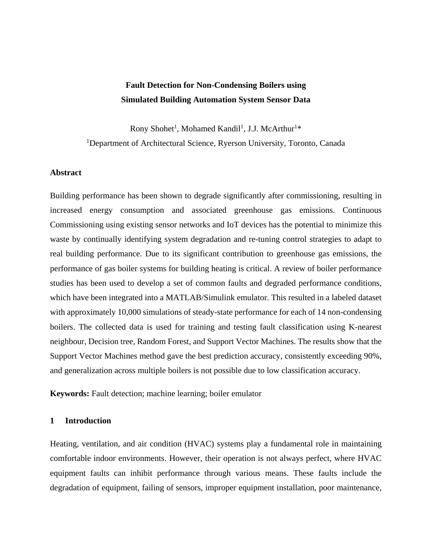# **Fault Detection for Non-Condensing Boilers using Simulated Building Automation System Sensor Data**

Rony Shohet<sup>1</sup>, Mohamed Kandil<sup>1</sup>, J.J. McArthur<sup>1</sup>\* <sup>1</sup>Department of Architectural Science, Ryerson University, Toronto, Canada

# **Abstract**

Building performance has been shown to degrade significantly after commissioning, resulting in increased energy consumption and associated greenhouse gas emissions. Continuous Commissioning using existing sensor networks and IoT devices has the potential to minimize this waste by continually identifying system degradation and re-tuning control strategies to adapt to real building performance. Due to its significant contribution to greenhouse gas emissions, the performance of gas boiler systems for building heating is critical. A review of boiler performance studies has been used to develop a set of common faults and degraded performance conditions, which have been integrated into a MATLAB/Simulink emulator. This resulted in a labeled dataset with approximately 10,000 simulations of steady-state performance for each of 14 non-condensing boilers. The collected data is used for training and testing fault classification using K-nearest neighbour, Decision tree, Random Forest, and Support Vector Machines. The results show that the Support Vector Machines method gave the best prediction accuracy, consistently exceeding 90%, and generalization across multiple boilers is not possible due to low classification accuracy.

**Keywords:** Fault detection; machine learning; boiler emulator

# **1 Introduction**

Heating, ventilation, and air condition (HVAC) systems play a fundamental role in maintaining comfortable indoor environments. However, their operation is not always perfect, where HVAC equipment faults can inhibit performance through various means. These faults include the degradation of equipment, failing of sensors, improper equipment installation, poor maintenance,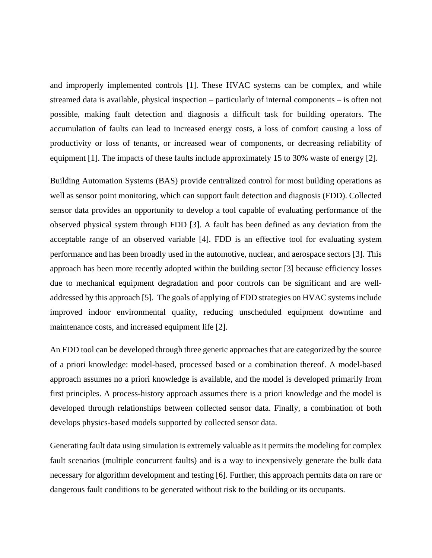and improperly implemented controls [1]. These HVAC systems can be complex, and while streamed data is available, physical inspection – particularly of internal components – is often not possible, making fault detection and diagnosis a difficult task for building operators. The accumulation of faults can lead to increased energy costs, a loss of comfort causing a loss of productivity or loss of tenants, or increased wear of components, or decreasing reliability of equipment [1]. The impacts of these faults include approximately 15 to 30% waste of energy [2].

Building Automation Systems (BAS) provide centralized control for most building operations as well as sensor point monitoring, which can support fault detection and diagnosis (FDD). Collected sensor data provides an opportunity to develop a tool capable of evaluating performance of the observed physical system through FDD [3]. A fault has been defined as any deviation from the acceptable range of an observed variable [4]. FDD is an effective tool for evaluating system performance and has been broadly used in the automotive, nuclear, and aerospace sectors [3]. This approach has been more recently adopted within the building sector [3] because efficiency losses due to mechanical equipment degradation and poor controls can be significant and are welladdressed by this approach [5]. The goals of applying of FDD strategies on HVAC systems include improved indoor environmental quality, reducing unscheduled equipment downtime and maintenance costs, and increased equipment life [2].

An FDD tool can be developed through three generic approaches that are categorized by the source of a priori knowledge: model-based, processed based or a combination thereof. A model-based approach assumes no a priori knowledge is available, and the model is developed primarily from first principles. A process-history approach assumes there is a priori knowledge and the model is developed through relationships between collected sensor data. Finally, a combination of both develops physics-based models supported by collected sensor data.

Generating fault data using simulation is extremely valuable as it permits the modeling for complex fault scenarios (multiple concurrent faults) and is a way to inexpensively generate the bulk data necessary for algorithm development and testing [6]. Further, this approach permits data on rare or dangerous fault conditions to be generated without risk to the building or its occupants.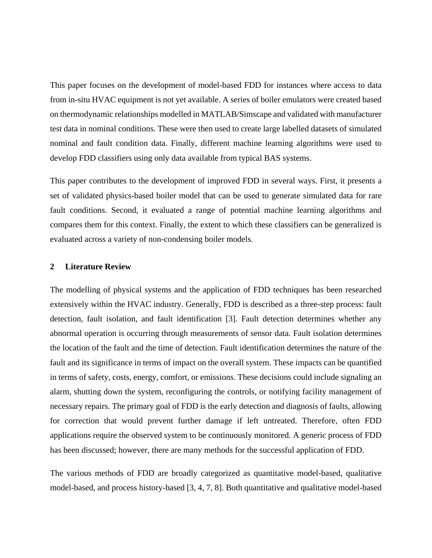This paper focuses on the development of model-based FDD for instances where access to data from in-situ HVAC equipment is not yet available. A series of boiler emulators were created based on thermodynamic relationships modelled in MATLAB/Simscape and validated with manufacturer test data in nominal conditions. These were then used to create large labelled datasets of simulated nominal and fault condition data. Finally, different machine learning algorithms were used to develop FDD classifiers using only data available from typical BAS systems.

This paper contributes to the development of improved FDD in several ways. First, it presents a set of validated physics-based boiler model that can be used to generate simulated data for rare fault conditions. Second, it evaluated a range of potential machine learning algorithms and compares them for this context. Finally, the extent to which these classifiers can be generalized is evaluated across a variety of non-condensing boiler models.

### **2 Literature Review**

The modelling of physical systems and the application of FDD techniques has been researched extensively within the HVAC industry. Generally, FDD is described as a three-step process: fault detection, fault isolation, and fault identification [3]. Fault detection determines whether any abnormal operation is occurring through measurements of sensor data. Fault isolation determines the location of the fault and the time of detection. Fault identification determines the nature of the fault and its significance in terms of impact on the overall system. These impacts can be quantified in terms of safety, costs, energy, comfort, or emissions. These decisions could include signaling an alarm, shutting down the system, reconfiguring the controls, or notifying facility management of necessary repairs. The primary goal of FDD is the early detection and diagnosis of faults, allowing for correction that would prevent further damage if left untreated. Therefore, often FDD applications require the observed system to be continuously monitored. A generic process of FDD has been discussed; however, there are many methods for the successful application of FDD.

The various methods of FDD are broadly categorized as quantitative model-based, qualitative model-based, and process history-based [3, 4, 7, 8]. Both quantitative and qualitative model-based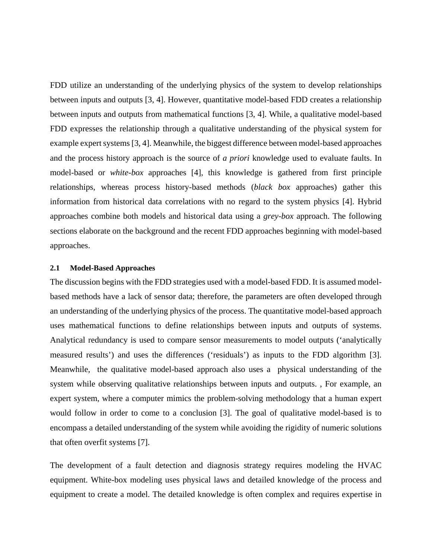FDD utilize an understanding of the underlying physics of the system to develop relationships between inputs and outputs [3, 4]. However, quantitative model-based FDD creates a relationship between inputs and outputs from mathematical functions [3, 4]. While, a qualitative model-based FDD expresses the relationship through a qualitative understanding of the physical system for example expert systems [3, 4]. Meanwhile, the biggest difference between model-based approaches and the process history approach is the source of *a priori* knowledge used to evaluate faults. In model-based or *white-box* approaches [4], this knowledge is gathered from first principle relationships, whereas process history-based methods (*black box* approaches) gather this information from historical data correlations with no regard to the system physics [4]. Hybrid approaches combine both models and historical data using a *grey-box* approach. The following sections elaborate on the background and the recent FDD approaches beginning with model-based approaches.

#### **2.1 Model-Based Approaches**

The discussion begins with the FDD strategies used with a model-based FDD. It is assumed modelbased methods have a lack of sensor data; therefore, the parameters are often developed through an understanding of the underlying physics of the process. The quantitative model-based approach uses mathematical functions to define relationships between inputs and outputs of systems. Analytical redundancy is used to compare sensor measurements to model outputs ('analytically measured results') and uses the differences ('residuals') as inputs to the FDD algorithm [3]. Meanwhile, the qualitative model-based approach also uses a physical understanding of the system while observing qualitative relationships between inputs and outputs. , For example, an expert system, where a computer mimics the problem-solving methodology that a human expert would follow in order to come to a conclusion [3]. The goal of qualitative model-based is to encompass a detailed understanding of the system while avoiding the rigidity of numeric solutions that often overfit systems [7].

The development of a fault detection and diagnosis strategy requires modeling the HVAC equipment. White-box modeling uses physical laws and detailed knowledge of the process and equipment to create a model. The detailed knowledge is often complex and requires expertise in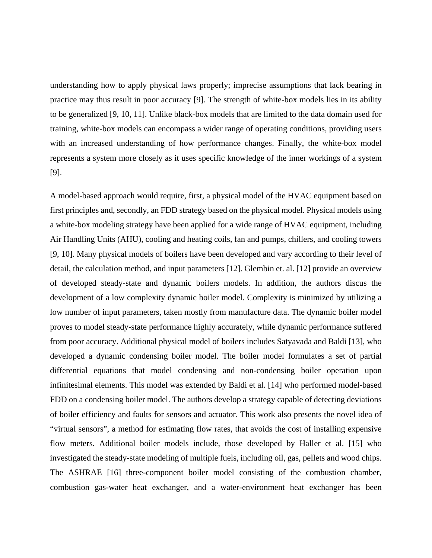understanding how to apply physical laws properly; imprecise assumptions that lack bearing in practice may thus result in poor accuracy [9]. The strength of white-box models lies in its ability to be generalized [9, 10, 11]. Unlike black-box models that are limited to the data domain used for training, white-box models can encompass a wider range of operating conditions, providing users with an increased understanding of how performance changes. Finally, the white-box model represents a system more closely as it uses specific knowledge of the inner workings of a system [9].

A model-based approach would require, first, a physical model of the HVAC equipment based on first principles and, secondly, an FDD strategy based on the physical model. Physical models using a white-box modeling strategy have been applied for a wide range of HVAC equipment, including Air Handling Units (AHU), cooling and heating coils, fan and pumps, chillers, and cooling towers [9, 10]. Many physical models of boilers have been developed and vary according to their level of detail, the calculation method, and input parameters [12]. Glembin et. al. [12] provide an overview of developed steady-state and dynamic boilers models. In addition, the authors discus the development of a low complexity dynamic boiler model. Complexity is minimized by utilizing a low number of input parameters, taken mostly from manufacture data. The dynamic boiler model proves to model steady-state performance highly accurately, while dynamic performance suffered from poor accuracy. Additional physical model of boilers includes Satyavada and Baldi [13], who developed a dynamic condensing boiler model. The boiler model formulates a set of partial differential equations that model condensing and non-condensing boiler operation upon infinitesimal elements. This model was extended by Baldi et al. [14] who performed model-based FDD on a condensing boiler model. The authors develop a strategy capable of detecting deviations of boiler efficiency and faults for sensors and actuator. This work also presents the novel idea of "virtual sensors", a method for estimating flow rates, that avoids the cost of installing expensive flow meters. Additional boiler models include, those developed by Haller et al. [15] who investigated the steady-state modeling of multiple fuels, including oil, gas, pellets and wood chips. The ASHRAE [16] three-component boiler model consisting of the combustion chamber, combustion gas-water heat exchanger, and a water-environment heat exchanger has been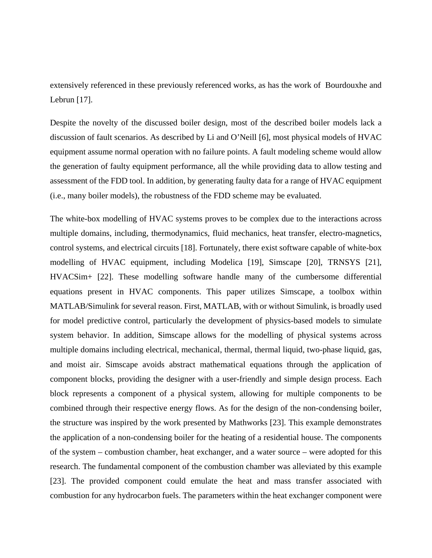extensively referenced in these previously referenced works, as has the work of Bourdouxhe and Lebrun [17].

Despite the novelty of the discussed boiler design, most of the described boiler models lack a discussion of fault scenarios. As described by Li and O'Neill [6], most physical models of HVAC equipment assume normal operation with no failure points. A fault modeling scheme would allow the generation of faulty equipment performance, all the while providing data to allow testing and assessment of the FDD tool. In addition, by generating faulty data for a range of HVAC equipment (i.e., many boiler models), the robustness of the FDD scheme may be evaluated.

The white-box modelling of HVAC systems proves to be complex due to the interactions across multiple domains, including, thermodynamics, fluid mechanics, heat transfer, electro-magnetics, control systems, and electrical circuits [18]. Fortunately, there exist software capable of white-box modelling of HVAC equipment, including Modelica [19], Simscape [20], TRNSYS [21], HVACSim+ [22]. These modelling software handle many of the cumbersome differential equations present in HVAC components. This paper utilizes Simscape, a toolbox within MATLAB/Simulink for several reason. First, MATLAB, with or without Simulink, is broadly used for model predictive control, particularly the development of physics-based models to simulate system behavior. In addition, Simscape allows for the modelling of physical systems across multiple domains including electrical, mechanical, thermal, thermal liquid, two-phase liquid, gas, and moist air. Simscape avoids abstract mathematical equations through the application of component blocks, providing the designer with a user-friendly and simple design process. Each block represents a component of a physical system, allowing for multiple components to be combined through their respective energy flows. As for the design of the non-condensing boiler, the structure was inspired by the work presented by Mathworks [23]. This example demonstrates the application of a non-condensing boiler for the heating of a residential house. The components of the system – combustion chamber, heat exchanger, and a water source – were adopted for this research. The fundamental component of the combustion chamber was alleviated by this example [23]. The provided component could emulate the heat and mass transfer associated with combustion for any hydrocarbon fuels. The parameters within the heat exchanger component were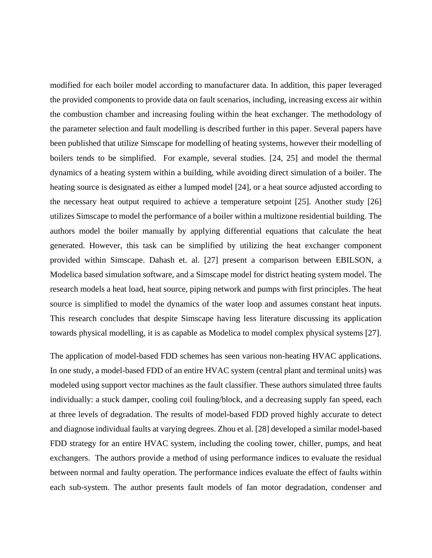modified for each boiler model according to manufacturer data. In addition, this paper leveraged the provided components to provide data on fault scenarios, including, increasing excess air within the combustion chamber and increasing fouling within the heat exchanger. The methodology of the parameter selection and fault modelling is described further in this paper. Several papers have been published that utilize Simscape for modelling of heating systems, however their modelling of boilers tends to be simplified. For example, several studies. [24, 25] and model the thermal dynamics of a heating system within a building, while avoiding direct simulation of a boiler. The heating source is designated as either a lumped model [24], or a heat source adjusted according to the necessary heat output required to achieve a temperature setpoint [25]. Another study [26] utilizes Simscape to model the performance of a boiler within a multizone residential building. The authors model the boiler manually by applying differential equations that calculate the heat generated. However, this task can be simplified by utilizing the heat exchanger component provided within Simscape. Dahash et. al. [27] present a comparison between EBILSON, a Modelica based simulation software, and a Simscape model for district heating system model. The research models a heat load, heat source, piping network and pumps with first principles. The heat source is simplified to model the dynamics of the water loop and assumes constant heat inputs. This research concludes that despite Simscape having less literature discussing its application towards physical modelling, it is as capable as Modelica to model complex physical systems [27].

The application of model-based FDD schemes has seen various non-heating HVAC applications. In one study, a model-based FDD of an entire HVAC system (central plant and terminal units) was modeled using support vector machines as the fault classifier. These authors simulated three faults individually: a stuck damper, cooling coil fouling/block, and a decreasing supply fan speed, each at three levels of degradation. The results of model-based FDD proved highly accurate to detect and diagnose individual faults at varying degrees. Zhou et al. [28] developed a similar model-based FDD strategy for an entire HVAC system, including the cooling tower, chiller, pumps, and heat exchangers. The authors provide a method of using performance indices to evaluate the residual between normal and faulty operation. The performance indices evaluate the effect of faults within each sub-system. The author presents fault models of fan motor degradation, condenser and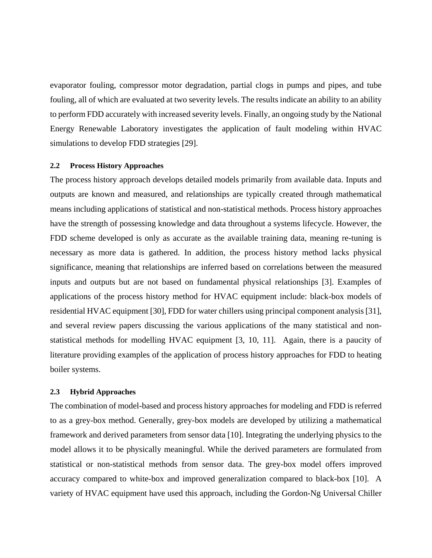evaporator fouling, compressor motor degradation, partial clogs in pumps and pipes, and tube fouling, all of which are evaluated at two severity levels. The results indicate an ability to an ability to perform FDD accurately with increased severity levels. Finally, an ongoing study by the National Energy Renewable Laboratory investigates the application of fault modeling within HVAC simulations to develop FDD strategies [29].

#### **2.2 Process History Approaches**

The process history approach develops detailed models primarily from available data. Inputs and outputs are known and measured, and relationships are typically created through mathematical means including applications of statistical and non-statistical methods. Process history approaches have the strength of possessing knowledge and data throughout a systems lifecycle. However, the FDD scheme developed is only as accurate as the available training data, meaning re-tuning is necessary as more data is gathered. In addition, the process history method lacks physical significance, meaning that relationships are inferred based on correlations between the measured inputs and outputs but are not based on fundamental physical relationships [3]. Examples of applications of the process history method for HVAC equipment include: black-box models of residential HVAC equipment [30], FDD for water chillers using principal component analysis [31], and several review papers discussing the various applications of the many statistical and nonstatistical methods for modelling HVAC equipment [3, 10, 11]. Again, there is a paucity of literature providing examples of the application of process history approaches for FDD to heating boiler systems.

### **2.3 Hybrid Approaches**

The combination of model-based and process history approaches for modeling and FDD is referred to as a grey-box method. Generally, grey-box models are developed by utilizing a mathematical framework and derived parameters from sensor data [10]. Integrating the underlying physics to the model allows it to be physically meaningful. While the derived parameters are formulated from statistical or non-statistical methods from sensor data. The grey-box model offers improved accuracy compared to white-box and improved generalization compared to black-box [10]. A variety of HVAC equipment have used this approach, including the Gordon-Ng Universal Chiller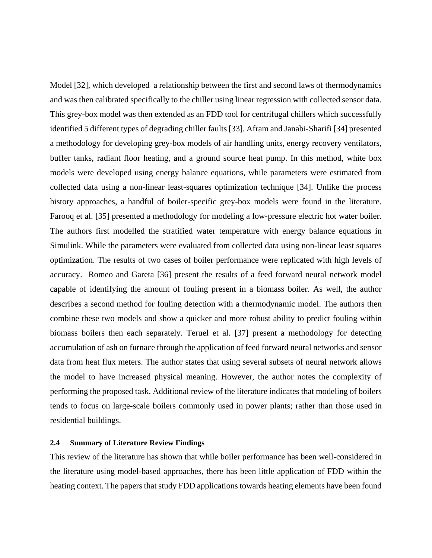Model [32], which developed a relationship between the first and second laws of thermodynamics and was then calibrated specifically to the chiller using linear regression with collected sensor data. This grey-box model was then extended as an FDD tool for centrifugal chillers which successfully identified 5 different types of degrading chiller faults [33]. Afram and Janabi-Sharifi [34] presented a methodology for developing grey-box models of air handling units, energy recovery ventilators, buffer tanks, radiant floor heating, and a ground source heat pump. In this method, white box models were developed using energy balance equations, while parameters were estimated from collected data using a non-linear least-squares optimization technique [34]. Unlike the process history approaches, a handful of boiler-specific grey-box models were found in the literature. Farooq et al. [35] presented a methodology for modeling a low-pressure electric hot water boiler. The authors first modelled the stratified water temperature with energy balance equations in Simulink. While the parameters were evaluated from collected data using non-linear least squares optimization. The results of two cases of boiler performance were replicated with high levels of accuracy. Romeo and Gareta [36] present the results of a feed forward neural network model capable of identifying the amount of fouling present in a biomass boiler. As well, the author describes a second method for fouling detection with a thermodynamic model. The authors then combine these two models and show a quicker and more robust ability to predict fouling within biomass boilers then each separately. Teruel et al. [37] present a methodology for detecting accumulation of ash on furnace through the application of feed forward neural networks and sensor data from heat flux meters. The author states that using several subsets of neural network allows the model to have increased physical meaning. However, the author notes the complexity of performing the proposed task. Additional review of the literature indicates that modeling of boilers tends to focus on large-scale boilers commonly used in power plants; rather than those used in residential buildings.

# **2.4 Summary of Literature Review Findings**

This review of the literature has shown that while boiler performance has been well-considered in the literature using model-based approaches, there has been little application of FDD within the heating context. The papers that study FDD applications towards heating elements have been found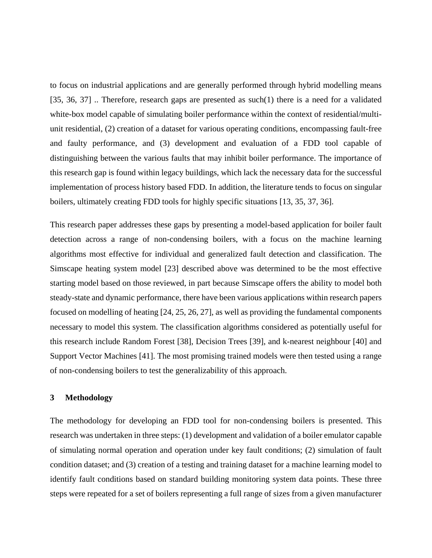to focus on industrial applications and are generally performed through hybrid modelling means [35, 36, 37] .. Therefore, research gaps are presented as such(1) there is a need for a validated white-box model capable of simulating boiler performance within the context of residential/multiunit residential, (2) creation of a dataset for various operating conditions, encompassing fault-free and faulty performance, and (3) development and evaluation of a FDD tool capable of distinguishing between the various faults that may inhibit boiler performance. The importance of this research gap is found within legacy buildings, which lack the necessary data for the successful implementation of process history based FDD. In addition, the literature tends to focus on singular boilers, ultimately creating FDD tools for highly specific situations [13, 35, 37, 36].

This research paper addresses these gaps by presenting a model-based application for boiler fault detection across a range of non-condensing boilers, with a focus on the machine learning algorithms most effective for individual and generalized fault detection and classification. The Simscape heating system model [23] described above was determined to be the most effective starting model based on those reviewed, in part because Simscape offers the ability to model both steady-state and dynamic performance, there have been various applications within research papers focused on modelling of heating [24, 25, 26, 27], as well as providing the fundamental components necessary to model this system. The classification algorithms considered as potentially useful for this research include Random Forest [38], Decision Trees [39], and k-nearest neighbour [40] and Support Vector Machines [41]. The most promising trained models were then tested using a range of non-condensing boilers to test the generalizability of this approach.

### **3 Methodology**

The methodology for developing an FDD tool for non-condensing boilers is presented. This research was undertaken in three steps: (1) development and validation of a boiler emulator capable of simulating normal operation and operation under key fault conditions; (2) simulation of fault condition dataset; and (3) creation of a testing and training dataset for a machine learning model to identify fault conditions based on standard building monitoring system data points. These three steps were repeated for a set of boilers representing a full range of sizes from a given manufacturer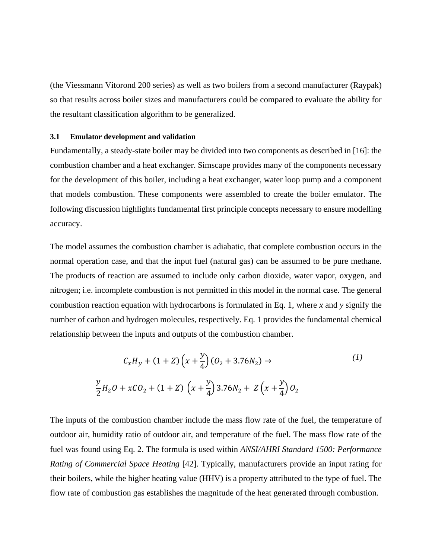(the Viessmann Vitorond 200 series) as well as two boilers from a second manufacturer (Raypak) so that results across boiler sizes and manufacturers could be compared to evaluate the ability for the resultant classification algorithm to be generalized.

#### **3.1 Emulator development and validation**

Fundamentally, a steady-state boiler may be divided into two components as described in [16]: the combustion chamber and a heat exchanger. Simscape provides many of the components necessary for the development of this boiler, including a heat exchanger, water loop pump and a component that models combustion. These components were assembled to create the boiler emulator. The following discussion highlights fundamental first principle concepts necessary to ensure modelling accuracy.

The model assumes the combustion chamber is adiabatic, that complete combustion occurs in the normal operation case, and that the input fuel (natural gas) can be assumed to be pure methane. The products of reaction are assumed to include only carbon dioxide, water vapor, oxygen, and nitrogen; i.e. incomplete combustion is not permitted in this model in the normal case. The general combustion reaction equation with hydrocarbons is formulated in Eq. 1, where *x* and *y* signify the number of carbon and hydrogen molecules, respectively. Eq. 1 provides the fundamental chemical relationship between the inputs and outputs of the combustion chamber.

$$
C_x H_y + (1 + Z) \left(x + \frac{y}{4}\right) (0_2 + 3.76N_2) \to \tag{1}
$$
\n
$$
\frac{y}{2} H_2 O + xCO_2 + (1 + Z) \left(x + \frac{y}{4}\right) 3.76N_2 + Z\left(x + \frac{y}{4}\right) O_2
$$

The inputs of the combustion chamber include the mass flow rate of the fuel, the temperature of outdoor air, humidity ratio of outdoor air, and temperature of the fuel. The mass flow rate of the fuel was found using Eq. 2. The formula is used within *ANSI/AHRI Standard 1500: Performance Rating of Commercial Space Heating* [42]. Typically, manufacturers provide an input rating for their boilers, while the higher heating value (HHV) is a property attributed to the type of fuel. The flow rate of combustion gas establishes the magnitude of the heat generated through combustion.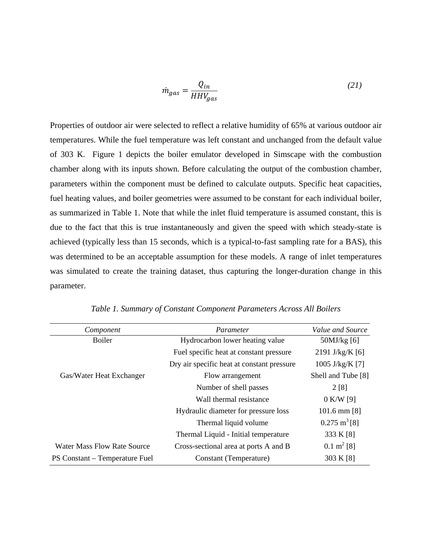$$
\dot{m}_{gas} = \frac{Q_{in}}{HHV_{gas}}\tag{21}
$$

Properties of outdoor air were selected to reflect a relative humidity of 65% at various outdoor air temperatures. While the fuel temperature was left constant and unchanged from the default value of 303 K. Figure 1 depicts the boiler emulator developed in Simscape with the combustion chamber along with its inputs shown. Before calculating the output of the combustion chamber, parameters within the component must be defined to calculate outputs. Specific heat capacities, fuel heating values, and boiler geometries were assumed to be constant for each individual boiler, as summarized in Table 1. Note that while the inlet fluid temperature is assumed constant, this is due to the fact that this is true instantaneously and given the speed with which steady-state is achieved (typically less than 15 seconds, which is a typical-to-fast sampling rate for a BAS), this was determined to be an acceptable assumption for these models. A range of inlet temperatures was simulated to create the training dataset, thus capturing the longer-duration change in this parameter.

| Component                          | Parameter                                  | Value and Source        |
|------------------------------------|--------------------------------------------|-------------------------|
| <b>Boiler</b>                      | Hydrocarbon lower heating value            | $50$ MJ/kg [6]          |
|                                    | Fuel specific heat at constant pressure    | 2191 J/kg/K [6]         |
|                                    | Dry air specific heat at constant pressure | 1005 J/kg/K [7]         |
| Gas/Water Heat Exchanger           | Flow arrangement                           | Shell and Tube [8]      |
|                                    | Number of shell passes                     | 2[8]                    |
|                                    | Wall thermal resistance                    | $0$ K/W [9]             |
|                                    | Hydraulic diameter for pressure loss       | $101.6$ mm $[8]$        |
|                                    | Thermal liquid volume                      | $0.275 \text{ m}^3 [8]$ |
|                                    | Thermal Liquid - Initial temperature       | 333 K [8]               |
| <b>Water Mass Flow Rate Source</b> | Cross-sectional area at ports A and B      | $0.1 \text{ m}^2$ [8]   |
| PS Constant – Temperature Fuel     | Constant (Temperature)                     | 303 K [8]               |

*Table 1. Summary of Constant Component Parameters Across All Boilers*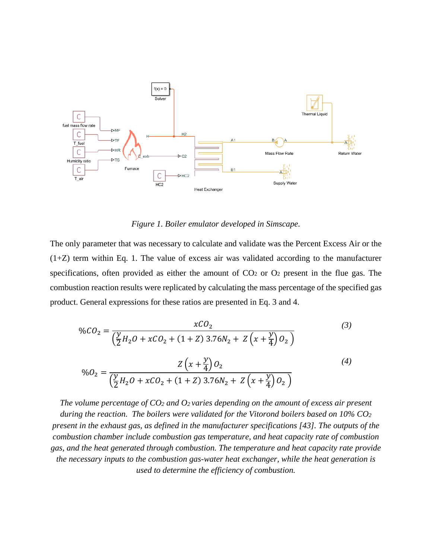

*Figure 1. Boiler emulator developed in Simscape.*

The only parameter that was necessary to calculate and validate was the Percent Excess Air or the  $(1+Z)$  term within Eq. 1. The value of excess air was validated according to the manufacturer specifications, often provided as either the amount of  $CO<sub>2</sub>$  or  $O<sub>2</sub>$  present in the flue gas. The combustion reaction results were replicated by calculating the mass percentage of the specified gas product. General expressions for these ratios are presented in Eq. 3 and 4.

$$
\%CO_2 = \frac{xCO_2}{\left(\frac{y}{2}H_2O + xCO_2 + (1+Z)3.76N_2 + Z\left(x + \frac{y}{4}\right)O_2\right)}
$$
\n
$$
\%O_2 = \frac{Z\left(x + \frac{y}{4}\right)O_2}{\left(\frac{y}{2}H_2O + xCO_2 + (1+Z)3.76N_2 + Z\left(x + \frac{y}{4}\right)O_2\right)}
$$
\n(4)

*The volume percentage of CO2 and O2 varies depending on the amount of excess air present during the reaction. The boilers were validated for the Vitorond boilers based on 10% CO2 present in the exhaust gas, as defined in the manufacturer specifications [43]. The outputs of the combustion chamber include combustion gas temperature, and heat capacity rate of combustion gas, and the heat generated through combustion. The temperature and heat capacity rate provide the necessary inputs to the combustion gas-water heat exchanger, while the heat generation is used to determine the efficiency of combustion.*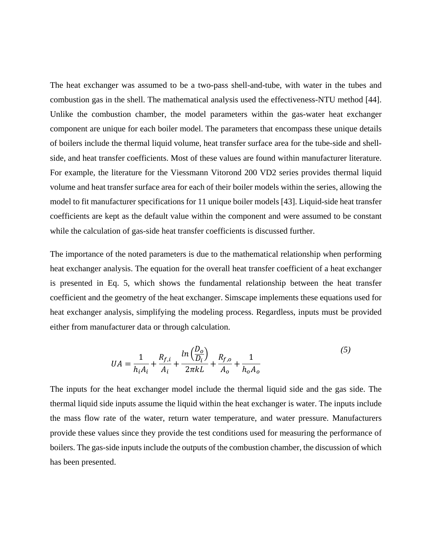The heat exchanger was assumed to be a two-pass shell-and-tube, with water in the tubes and combustion gas in the shell. The mathematical analysis used the effectiveness-NTU method [44]. Unlike the combustion chamber, the model parameters within the gas-water heat exchanger component are unique for each boiler model. The parameters that encompass these unique details of boilers include the thermal liquid volume, heat transfer surface area for the tube-side and shellside, and heat transfer coefficients. Most of these values are found within manufacturer literature. For example, the literature for the Viessmann Vitorond 200 VD2 series provides thermal liquid volume and heat transfer surface area for each of their boiler models within the series, allowing the model to fit manufacturer specifications for 11 unique boiler models [43]. Liquid-side heat transfer coefficients are kept as the default value within the component and were assumed to be constant while the calculation of gas-side heat transfer coefficients is discussed further.

The importance of the noted parameters is due to the mathematical relationship when performing heat exchanger analysis. The equation for the overall heat transfer coefficient of a heat exchanger is presented in Eq. 5, which shows the fundamental relationship between the heat transfer coefficient and the geometry of the heat exchanger. Simscape implements these equations used for heat exchanger analysis, simplifying the modeling process. Regardless, inputs must be provided either from manufacturer data or through calculation.

$$
UA = \frac{1}{h_i A_i} + \frac{R_{f,i}}{A_i} + \frac{\ln\left(\frac{D_o}{D_i}\right)}{2\pi k L} + \frac{R_{f,o}}{A_o} + \frac{1}{h_o A_o} \tag{5}
$$

The inputs for the heat exchanger model include the thermal liquid side and the gas side. The thermal liquid side inputs assume the liquid within the heat exchanger is water. The inputs include the mass flow rate of the water, return water temperature, and water pressure. Manufacturers provide these values since they provide the test conditions used for measuring the performance of boilers. The gas-side inputs include the outputs of the combustion chamber, the discussion of which has been presented.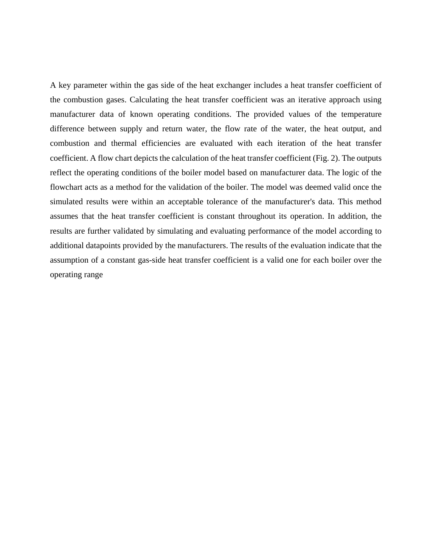A key parameter within the gas side of the heat exchanger includes a heat transfer coefficient of the combustion gases. Calculating the heat transfer coefficient was an iterative approach using manufacturer data of known operating conditions. The provided values of the temperature difference between supply and return water, the flow rate of the water, the heat output, and combustion and thermal efficiencies are evaluated with each iteration of the heat transfer coefficient. A flow chart depicts the calculation of the heat transfer coefficient (Fig. 2). The outputs reflect the operating conditions of the boiler model based on manufacturer data. The logic of the flowchart acts as a method for the validation of the boiler. The model was deemed valid once the simulated results were within an acceptable tolerance of the manufacturer's data. This method assumes that the heat transfer coefficient is constant throughout its operation. In addition, the results are further validated by simulating and evaluating performance of the model according to additional datapoints provided by the manufacturers. The results of the evaluation indicate that the assumption of a constant gas-side heat transfer coefficient is a valid one for each boiler over the operating range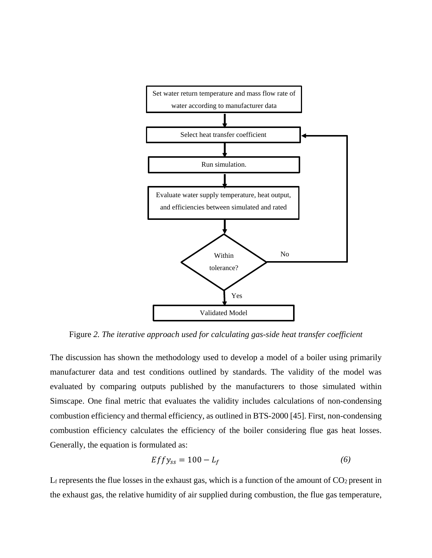

Figure *2. The iterative approach used for calculating gas-side heat transfer coefficient*

The discussion has shown the methodology used to develop a model of a boiler using primarily manufacturer data and test conditions outlined by standards. The validity of the model was evaluated by comparing outputs published by the manufacturers to those simulated within Simscape. One final metric that evaluates the validity includes calculations of non-condensing combustion efficiency and thermal efficiency, as outlined in BTS-2000 [45]. First, non-condensing combustion efficiency calculates the efficiency of the boiler considering flue gas heat losses. Generally, the equation is formulated as:

$$
Effy_{ss} = 100 - L_f \tag{6}
$$

 $L_f$  represents the flue losses in the exhaust gas, which is a function of the amount of  $CO_2$  present in the exhaust gas, the relative humidity of air supplied during combustion, the flue gas temperature,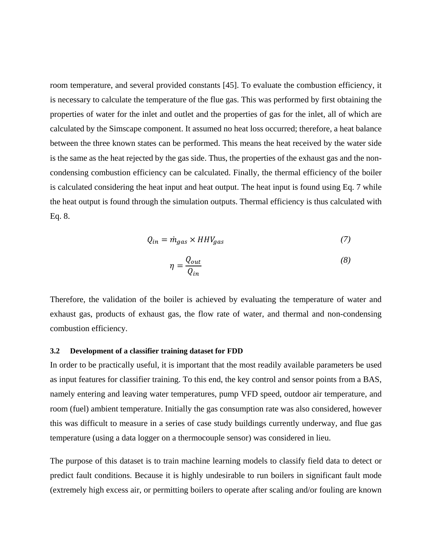room temperature, and several provided constants [45]. To evaluate the combustion efficiency, it is necessary to calculate the temperature of the flue gas. This was performed by first obtaining the properties of water for the inlet and outlet and the properties of gas for the inlet, all of which are calculated by the Simscape component. It assumed no heat loss occurred; therefore, a heat balance between the three known states can be performed. This means the heat received by the water side is the same as the heat rejected by the gas side. Thus, the properties of the exhaust gas and the noncondensing combustion efficiency can be calculated. Finally, the thermal efficiency of the boiler is calculated considering the heat input and heat output. The heat input is found using Eq. 7 while the heat output is found through the simulation outputs. Thermal efficiency is thus calculated with Eq. 8.

$$
Q_{in} = \dot{m}_{gas} \times HHV_{gas}
$$
 (7)

$$
\eta = \frac{Q_{out}}{Q_{in}}\tag{8}
$$

Therefore, the validation of the boiler is achieved by evaluating the temperature of water and exhaust gas, products of exhaust gas, the flow rate of water, and thermal and non-condensing combustion efficiency.

### **3.2 Development of a classifier training dataset for FDD**

In order to be practically useful, it is important that the most readily available parameters be used as input features for classifier training. To this end, the key control and sensor points from a BAS, namely entering and leaving water temperatures, pump VFD speed, outdoor air temperature, and room (fuel) ambient temperature. Initially the gas consumption rate was also considered, however this was difficult to measure in a series of case study buildings currently underway, and flue gas temperature (using a data logger on a thermocouple sensor) was considered in lieu.

The purpose of this dataset is to train machine learning models to classify field data to detect or predict fault conditions. Because it is highly undesirable to run boilers in significant fault mode (extremely high excess air, or permitting boilers to operate after scaling and/or fouling are known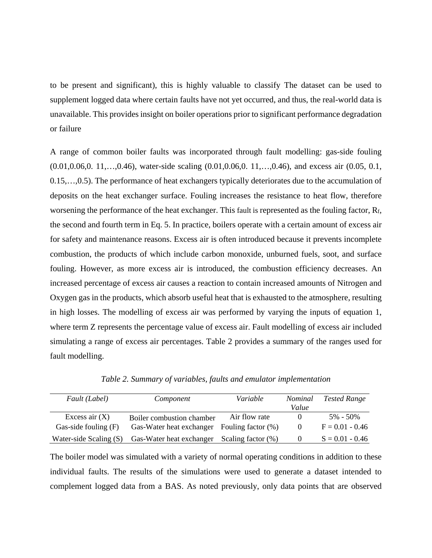to be present and significant), this is highly valuable to classify The dataset can be used to supplement logged data where certain faults have not yet occurred, and thus, the real-world data is unavailable. This provides insight on boiler operations prior to significant performance degradation or failure

A range of common boiler faults was incorporated through fault modelling: gas-side fouling (0.01,0.06,0. 11,…,0.46), water-side scaling (0.01,0.06,0. 11,…,0.46), and excess air (0.05, 0.1, 0.15,…,0.5). The performance of heat exchangers typically deteriorates due to the accumulation of deposits on the heat exchanger surface. Fouling increases the resistance to heat flow, therefore worsening the performance of the heat exchanger. This fault is represented as the fouling factor, Rf, the second and fourth term in Eq. 5. In practice, boilers operate with a certain amount of excess air for safety and maintenance reasons. Excess air is often introduced because it prevents incomplete combustion, the products of which include carbon monoxide, unburned fuels, soot, and surface fouling. However, as more excess air is introduced, the combustion efficiency decreases. An increased percentage of excess air causes a reaction to contain increased amounts of Nitrogen and Oxygen gas in the products, which absorb useful heat that is exhausted to the atmosphere, resulting in high losses. The modelling of excess air was performed by varying the inputs of equation 1, where term Z represents the percentage value of excess air. Fault modelling of excess air included simulating a range of excess air percentages. Table 2 provides a summary of the ranges used for fault modelling.

| Fault (Label)          | Component                 | Variable              | Nominal  | <b>Tested Range</b> |
|------------------------|---------------------------|-----------------------|----------|---------------------|
|                        |                           |                       | Value    |                     |
| Excess air $(X)$       | Boiler combustion chamber | Air flow rate         | $\theta$ | $5\% - 50\%$        |
| Gas-side fouling $(F)$ | Gas-Water heat exchanger  | Fouling factor $(\%)$ | $\theta$ | $F = 0.01 - 0.46$   |
| Water-side Scaling (S) | Gas-Water heat exchanger  | Scaling factor (%)    | $\Omega$ | $S = 0.01 - 0.46$   |

*Table 2. Summary of variables, faults and emulator implementation*

The boiler model was simulated with a variety of normal operating conditions in addition to these individual faults. The results of the simulations were used to generate a dataset intended to complement logged data from a BAS. As noted previously, only data points that are observed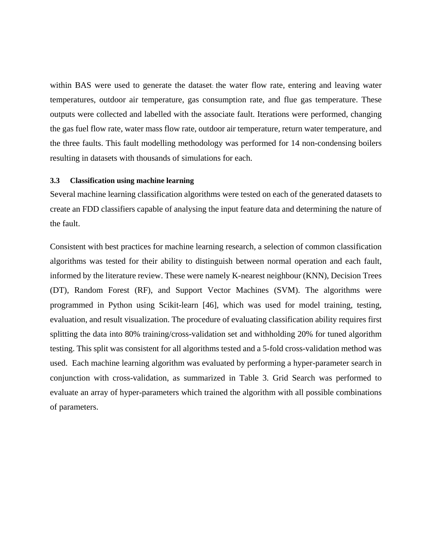within BAS were used to generate the dataset: the water flow rate, entering and leaving water temperatures, outdoor air temperature, gas consumption rate, and flue gas temperature. These outputs were collected and labelled with the associate fault. Iterations were performed, changing the gas fuel flow rate, water mass flow rate, outdoor air temperature, return water temperature, and the three faults. This fault modelling methodology was performed for 14 non-condensing boilers resulting in datasets with thousands of simulations for each.

#### **3.3 Classification using machine learning**

Several machine learning classification algorithms were tested on each of the generated datasets to create an FDD classifiers capable of analysing the input feature data and determining the nature of the fault.

Consistent with best practices for machine learning research, a selection of common classification algorithms was tested for their ability to distinguish between normal operation and each fault, informed by the literature review. These were namely K-nearest neighbour (KNN), Decision Trees (DT), Random Forest (RF), and Support Vector Machines (SVM). The algorithms were programmed in Python using Scikit-learn [46], which was used for model training, testing, evaluation, and result visualization. The procedure of evaluating classification ability requires first splitting the data into 80% training/cross-validation set and withholding 20% for tuned algorithm testing. This split was consistent for all algorithms tested and a 5-fold cross-validation method was used. Each machine learning algorithm was evaluated by performing a hyper-parameter search in conjunction with cross-validation, as summarized in Table 3. Grid Search was performed to evaluate an array of hyper-parameters which trained the algorithm with all possible combinations of parameters.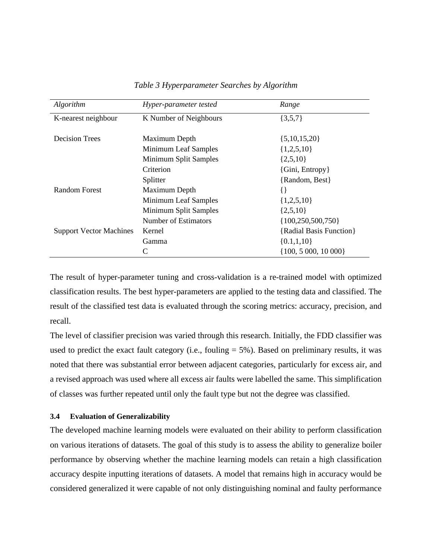| Algorithm                      | Hyper-parameter tested | Range                   |
|--------------------------------|------------------------|-------------------------|
| K-nearest neighbour            | K Number of Neighbours | $\{3,5,7\}$             |
| <b>Decision Trees</b>          | Maximum Depth          | $\{5,10,15,20\}$        |
|                                | Minimum Leaf Samples   | $\{1,2,5,10\}$          |
|                                | Minimum Split Samples  | $\{2,5,10\}$            |
|                                | Criterion              | {Gini, Entropy}         |
|                                | Splitter               | {Random, Best}          |
| <b>Random Forest</b>           | Maximum Depth          | $\{\,\}$                |
|                                | Minimum Leaf Samples   | $\{1,2,5,10\}$          |
|                                | Minimum Split Samples  | $\{2,5,10\}$            |
|                                | Number of Estimators   | ${100, 250, 500, 750}$  |
| <b>Support Vector Machines</b> | Kernel                 | {Radial Basis Function} |
|                                | Gamma                  | $\{0.1, 1, 10\}$        |
|                                | C                      | $\{100, 5000, 10000\}$  |

# *Table 3 Hyperparameter Searches by Algorithm*

The result of hyper-parameter tuning and cross-validation is a re-trained model with optimized classification results. The best hyper-parameters are applied to the testing data and classified. The result of the classified test data is evaluated through the scoring metrics: accuracy, precision, and recall.

The level of classifier precision was varied through this research. Initially, the FDD classifier was used to predict the exact fault category (i.e., fouling  $= 5\%$ ). Based on preliminary results, it was noted that there was substantial error between adjacent categories, particularly for excess air, and a revised approach was used where all excess air faults were labelled the same. This simplification of classes was further repeated until only the fault type but not the degree was classified.

# **3.4 Evaluation of Generalizability**

The developed machine learning models were evaluated on their ability to perform classification on various iterations of datasets. The goal of this study is to assess the ability to generalize boiler performance by observing whether the machine learning models can retain a high classification accuracy despite inputting iterations of datasets. A model that remains high in accuracy would be considered generalized it were capable of not only distinguishing nominal and faulty performance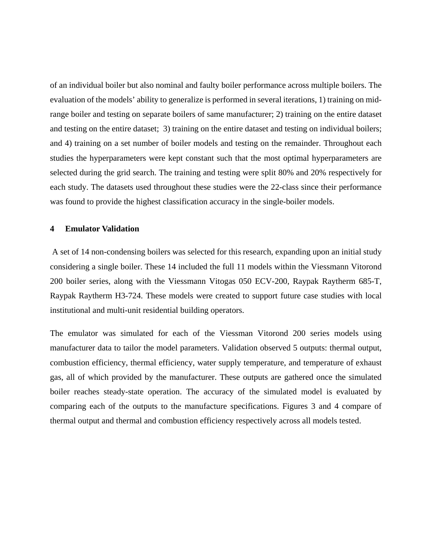of an individual boiler but also nominal and faulty boiler performance across multiple boilers. The evaluation of the models' ability to generalize is performed in several iterations, 1) training on midrange boiler and testing on separate boilers of same manufacturer; 2) training on the entire dataset and testing on the entire dataset; 3) training on the entire dataset and testing on individual boilers; and 4) training on a set number of boiler models and testing on the remainder. Throughout each studies the hyperparameters were kept constant such that the most optimal hyperparameters are selected during the grid search. The training and testing were split 80% and 20% respectively for each study. The datasets used throughout these studies were the 22-class since their performance was found to provide the highest classification accuracy in the single-boiler models.

# **4 Emulator Validation**

A set of 14 non-condensing boilers was selected for this research, expanding upon an initial study considering a single boiler. These 14 included the full 11 models within the Viessmann Vitorond 200 boiler series, along with the Viessmann Vitogas 050 ECV-200, Raypak Raytherm 685-T, Raypak Raytherm H3-724. These models were created to support future case studies with local institutional and multi-unit residential building operators.

The emulator was simulated for each of the Viessman Vitorond 200 series models using manufacturer data to tailor the model parameters. Validation observed 5 outputs: thermal output, combustion efficiency, thermal efficiency, water supply temperature, and temperature of exhaust gas, all of which provided by the manufacturer. These outputs are gathered once the simulated boiler reaches steady-state operation. The accuracy of the simulated model is evaluated by comparing each of the outputs to the manufacture specifications. Figures 3 and 4 compare of thermal output and thermal and combustion efficiency respectively across all models tested.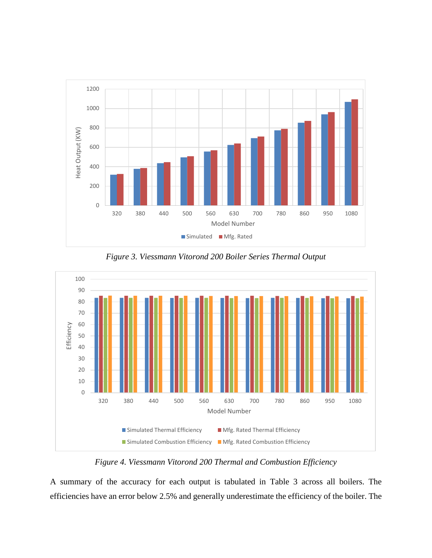

*Figure 3. Viessmann Vitorond 200 Boiler Series Thermal Output*



*Figure 4. Viessmann Vitorond 200 Thermal and Combustion Efficiency*

A summary of the accuracy for each output is tabulated in Table 3 across all boilers. The efficiencies have an error below 2.5% and generally underestimate the efficiency of the boiler. The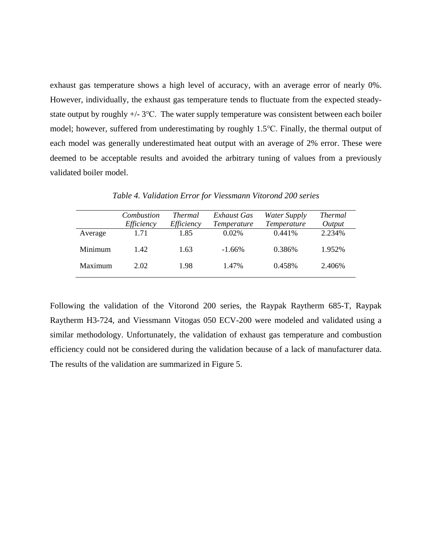exhaust gas temperature shows a high level of accuracy, with an average error of nearly 0%. However, individually, the exhaust gas temperature tends to fluctuate from the expected steadystate output by roughly +/- 3℃. The water supply temperature was consistent between each boiler model; however, suffered from underestimating by roughly 1.5℃. Finally, the thermal output of each model was generally underestimated heat output with an average of 2% error. These were deemed to be acceptable results and avoided the arbitrary tuning of values from a previously validated boiler model.

|         | Combustion<br>Efficiency | <i>Thermal</i><br>Efficiency | Exhaust Gas<br>Temperature | Water Supply<br><i>Temperature</i> | <i>Thermal</i><br>Output |
|---------|--------------------------|------------------------------|----------------------------|------------------------------------|--------------------------|
| Average | 1.71                     | 1.85                         | $0.02\%$                   | 0.441%                             | 2.234%                   |
| Minimum | 142                      | 1.63                         | $-1.66\%$                  | 0.386%                             | 1.952%                   |
| Maximum | 2.02                     | 1.98                         | 1.47%                      | 0.458%                             | 2.406%                   |

*Table 4. Validation Error for Viessmann Vitorond 200 series*

Following the validation of the Vitorond 200 series, the Raypak Raytherm 685-T, Raypak Raytherm H3-724, and Viessmann Vitogas 050 ECV-200 were modeled and validated using a similar methodology. Unfortunately, the validation of exhaust gas temperature and combustion efficiency could not be considered during the validation because of a lack of manufacturer data. The results of the validation are summarized in Figure 5.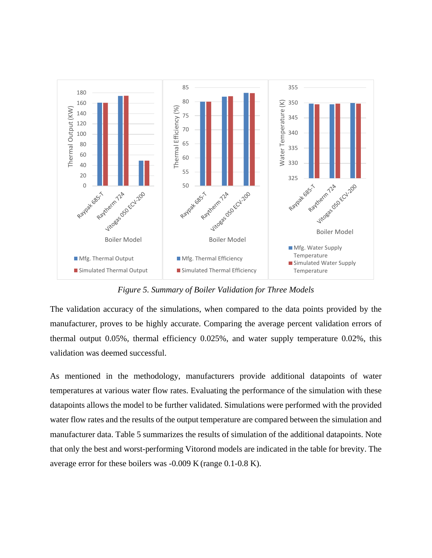

*Figure 5. Summary of Boiler Validation for Three Models*

The validation accuracy of the simulations, when compared to the data points provided by the manufacturer, proves to be highly accurate. Comparing the average percent validation errors of thermal output 0.05%, thermal efficiency 0.025%, and water supply temperature 0.02%, this validation was deemed successful.

As mentioned in the methodology, manufacturers provide additional datapoints of water temperatures at various water flow rates. Evaluating the performance of the simulation with these datapoints allows the model to be further validated. Simulations were performed with the provided water flow rates and the results of the output temperature are compared between the simulation and manufacturer data. Table 5 summarizes the results of simulation of the additional datapoints. Note that only the best and worst-performing Vitorond models are indicated in the table for brevity. The average error for these boilers was -0.009 K (range 0.1-0.8 K).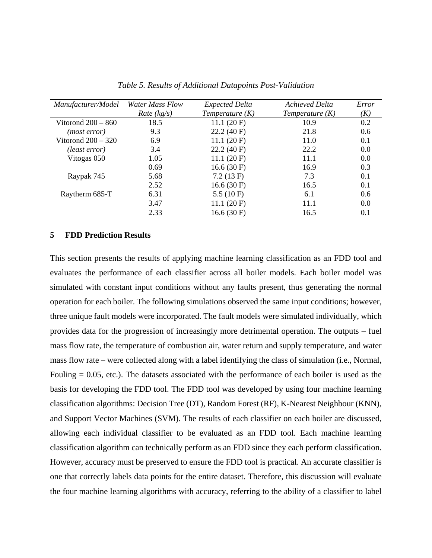| Manufacturer/Model   | <b>Water Mass Flow</b> | <b>Expected Delta</b> | <b>Achieved Delta</b> | Error         |
|----------------------|------------------------|-----------------------|-----------------------|---------------|
|                      | Rate $(kg/s)$          | Temperature $(K)$     | Temperature $(K)$     | (K)           |
| Vitorond $200 - 860$ | 18.5                   | 11.1(20 F)            | 10.9                  | 0.2           |
| (most error)         | 9.3                    | 22.2(40)              | 21.8                  | $0.6^{\circ}$ |
| Vitorond $200 - 320$ | 6.9                    | 11.1(20 F)            | 11.0                  | 0.1           |
| (least error)        | 3.4                    | 22.2(40)              | 22.2                  | 0.0           |
| Vitogas 050          | 1.05                   | 11.1(20 F)            | 11.1                  | 0.0           |
|                      | 0.69                   | 16.6(30)              | 16.9                  | 0.3           |
| Raypak 745           | 5.68                   | 7.2(13 F)             | 7.3                   | 0.1           |
|                      | 2.52                   | 16.6(30)              | 16.5                  | 0.1           |
| Raytherm 685-T       | 6.31                   | 5.5 $(10F)$           | 6.1                   | 0.6           |
|                      | 3.47                   | 11.1(20 F)            | 11.1                  | 0.0           |
|                      | 2.33                   | 16.6(30)              | 16.5                  | 0.1           |

*Table 5. Results of Additional Datapoints Post-Validation*

### **5 FDD Prediction Results**

This section presents the results of applying machine learning classification as an FDD tool and evaluates the performance of each classifier across all boiler models. Each boiler model was simulated with constant input conditions without any faults present, thus generating the normal operation for each boiler. The following simulations observed the same input conditions; however, three unique fault models were incorporated. The fault models were simulated individually, which provides data for the progression of increasingly more detrimental operation. The outputs – fuel mass flow rate, the temperature of combustion air, water return and supply temperature, and water mass flow rate – were collected along with a label identifying the class of simulation (i.e., Normal, Fouling = 0.05, etc.). The datasets associated with the performance of each boiler is used as the basis for developing the FDD tool. The FDD tool was developed by using four machine learning classification algorithms: Decision Tree (DT), Random Forest (RF), K-Nearest Neighbour (KNN), and Support Vector Machines (SVM). The results of each classifier on each boiler are discussed, allowing each individual classifier to be evaluated as an FDD tool. Each machine learning classification algorithm can technically perform as an FDD since they each perform classification. However, accuracy must be preserved to ensure the FDD tool is practical. An accurate classifier is one that correctly labels data points for the entire dataset. Therefore, this discussion will evaluate the four machine learning algorithms with accuracy, referring to the ability of a classifier to label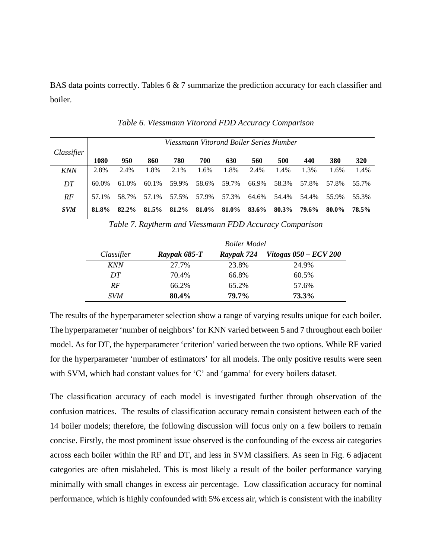BAS data points correctly. Tables 6 & 7 summarize the prediction accuracy for each classifier and boiler.

|            | Viessmann Vitorond Boiler Series Number |       |       |       |       |       |       |       |       |       |       |
|------------|-----------------------------------------|-------|-------|-------|-------|-------|-------|-------|-------|-------|-------|
| Classifier | 1080                                    | 950   | 860   | 780   | 700   | 630   | 560   | 500   | 440   | 380   | 320   |
| <b>KNN</b> | 2.8%                                    | 2.4%  | 1.8%  | 2.1%  | 1.6%  | 1.8%  | 2.4%  | 1.4%  | 1.3%  | 1.6%  | 1.4%  |
| DT         | 60.0%                                   | 61.0% | 60.1% | 59.9% | 58.6% | 59.7% | 66.9% | 58.3% | 57.8% | 57.8% | 55.7% |
| RF         | 57.1%                                   | 58.7% | 57.1% | 57.5% | 57.9% | 57.3% | 64.6% | 54.4% | 54.4% | 55.9% | 55.3% |
| <b>SVM</b> | 81.8%                                   | 82.2% | 81.5% | 81.2% | 81.0% | 81.0% | 83.6% | 80.3% | 79.6% | 80.0% | 78.5% |

*Table 6. Viessmann Vitorond FDD Accuracy Comparison* 

*Table 7. Raytherm and Viessmann FDD Accuracy Comparison*

|            |              | <b>Boiler Model</b> |                              |
|------------|--------------|---------------------|------------------------------|
| Classifier | Raypak 685-T | Raypak 724          | <i>Vitogas 050 – ECV 200</i> |
| <b>KNN</b> | 27.7%        | 23.8%               | 24.9%                        |
| DT         | 70.4%        | 66.8%               | 60.5%                        |
| RF         | 66.2%        | 65.2%               | 57.6%                        |
| <i>SVM</i> | 80.4%        | 79.7%               | 73.3%                        |

The results of the hyperparameter selection show a range of varying results unique for each boiler. The hyperparameter 'number of neighbors' for KNN varied between 5 and 7 throughout each boiler model. As for DT, the hyperparameter 'criterion' varied between the two options. While RF varied for the hyperparameter 'number of estimators' for all models. The only positive results were seen with SVM, which had constant values for 'C' and 'gamma' for every boilers dataset.

The classification accuracy of each model is investigated further through observation of the confusion matrices. The results of classification accuracy remain consistent between each of the 14 boiler models; therefore, the following discussion will focus only on a few boilers to remain concise. Firstly, the most prominent issue observed is the confounding of the excess air categories across each boiler within the RF and DT, and less in SVM classifiers. As seen in Fig. 6 adjacent categories are often mislabeled. This is most likely a result of the boiler performance varying minimally with small changes in excess air percentage. Low classification accuracy for nominal performance, which is highly confounded with 5% excess air, which is consistent with the inability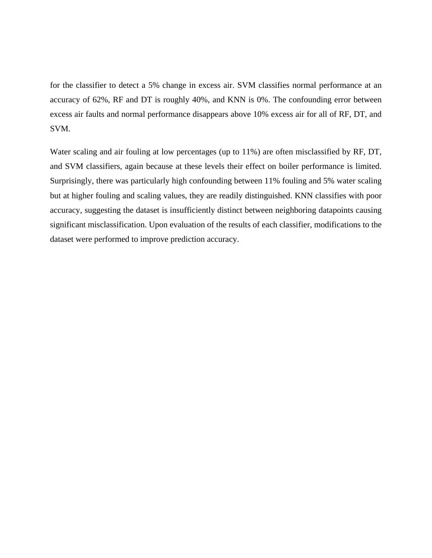for the classifier to detect a 5% change in excess air. SVM classifies normal performance at an accuracy of 62%, RF and DT is roughly 40%, and KNN is 0%. The confounding error between excess air faults and normal performance disappears above 10% excess air for all of RF, DT, and SVM.

Water scaling and air fouling at low percentages (up to 11%) are often misclassified by RF, DT, and SVM classifiers, again because at these levels their effect on boiler performance is limited. Surprisingly, there was particularly high confounding between 11% fouling and 5% water scaling but at higher fouling and scaling values, they are readily distinguished. KNN classifies with poor accuracy, suggesting the dataset is insufficiently distinct between neighboring datapoints causing significant misclassification. Upon evaluation of the results of each classifier, modifications to the dataset were performed to improve prediction accuracy.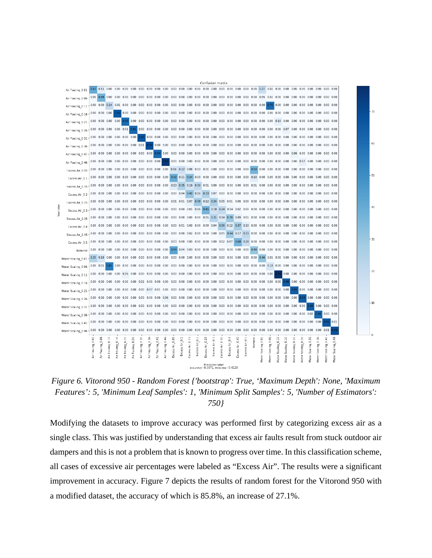

*Figure 6. Vitorond 950 - Random Forest {'bootstrap': True, 'Maximum Depth': None, 'Maximum Features': 5, 'Minimum Leaf Samples': 1, 'Minimum Split Samples': 5, 'Number of Estimators': 750}*

Modifying the datasets to improve accuracy was performed first by categorizing excess air as a single class. This was justified by understanding that excess air faults result from stuck outdoor air dampers and this is not a problem that is known to progress over time. In this classification scheme, all cases of excessive air percentages were labeled as "Excess Air". The results were a significant improvement in accuracy. Figure 7 depicts the results of random forest for the Vitorond 950 with a modified dataset, the accuracy of which is 85.8%, an increase of 27.1%.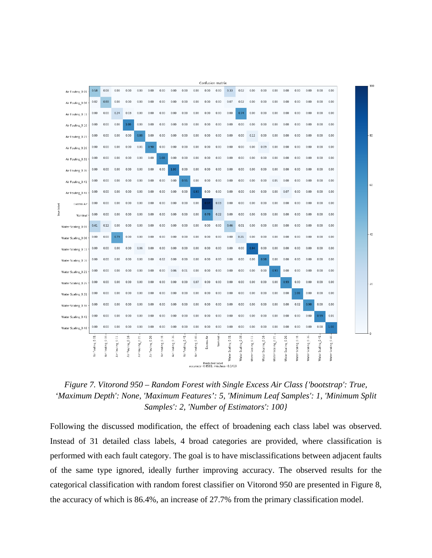

*Figure 7. Vitorond 950 – Random Forest with Single Excess Air Class {'bootstrap': True, 'Maximum Depth': None, 'Maximum Features': 5, 'Minimum Leaf Samples': 1, 'Minimum Split Samples': 2, 'Number of Estimators': 100}*

Following the discussed modification, the effect of broadening each class label was observed. Instead of 31 detailed class labels, 4 broad categories are provided, where classification is performed with each fault category. The goal is to have misclassifications between adjacent faults of the same type ignored, ideally further improving accuracy. The observed results for the categorical classification with random forest classifier on Vitorond 950 are presented in Figure 8, the accuracy of which is 86.4%, an increase of 27.7% from the primary classification model.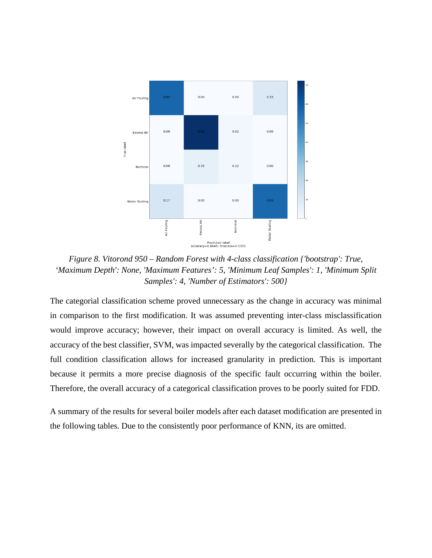

*Figure 8. Vitorond 950 – Random Forest with 4-class classification {'bootstrap': True, 'Maximum Depth': None, 'Maximum Features': 5, 'Minimum Leaf Samples': 1, 'Minimum Split Samples': 4, 'Number of Estimators': 500}*

The categorial classification scheme proved unnecessary as the change in accuracy was minimal in comparison to the first modification. It was assumed preventing inter-class misclassification would improve accuracy; however, their impact on overall accuracy is limited. As well, the accuracy of the best classifier, SVM, was impacted severally by the categorical classification. The full condition classification allows for increased granularity in prediction. This is important because it permits a more precise diagnosis of the specific fault occurring within the boiler. Therefore, the overall accuracy of a categorical classification proves to be poorly suited for FDD.

A summary of the results for several boiler models after each dataset modification are presented in the following tables. Due to the consistently poor performance of KNN, its are omitted.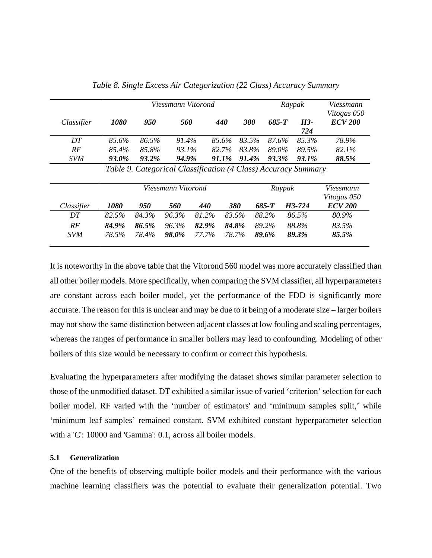|            |             |          | Viessmann Vitorond |       | Raypak | Viessmann |          |                               |
|------------|-------------|----------|--------------------|-------|--------|-----------|----------|-------------------------------|
| Classifier | <i>1080</i> | 950      | 560                | 440   | 380    | 685-T     | H3-      | Vitogas 050<br><b>ECV 200</b> |
|            |             |          |                    |       |        |           | 724      |                               |
| DT         | 85.6%       | 86.5%    | 91.4%              | 85.6% | 83.5%  | 87.6%     | 85.3%    | 78.9%                         |
| RF         | 85.4%       | 85.8%    | 93.1%              | 82.7% | 83.8%  | 89.0%     | 89.5%    | 82.1%                         |
| <b>SVM</b> | 93.0%       | $93.2\%$ | 94.9%              | 91.1% | 91.4%  | 93.3%     | $93.1\%$ | 88.5%                         |

*Table 8. Single Excess Air Categorization (22 Class) Accuracy Summary*

*Table 9. Categorical Classification (4 Class) Accuracy Summary*

|            |             |       | Viessmann Vitorond |                   |       |       | Raypak | Viessmann<br>Vitogas 050 |
|------------|-------------|-------|--------------------|-------------------|-------|-------|--------|--------------------------|
| Classifier | <i>1080</i> | 950   | <i><b>560</b></i>  | <i><b>440</b></i> | 380   | 685-T | H3-724 | <b>ECV 200</b>           |
| DT         | 82.5%       | 84.3% | 96.3%              | 81.2%             | 83.5% | 88.2% | 86.5%  | 80.9%                    |
| RF         | 84.9%       | 86.5% | 96.3%              | 82.9%             | 84.8% | 89.2% | 88.8%  | 83.5%                    |
| <b>SVM</b> | 78.5%       | 78.4% | 98.0%              | 77.7%             | 78.7% | 89.6% | 89.3%  | 85.5%                    |

It is noteworthy in the above table that the Vitorond 560 model was more accurately classified than all other boiler models. More specifically, when comparing the SVM classifier, all hyperparameters are constant across each boiler model, yet the performance of the FDD is significantly more accurate. The reason for this is unclear and may be due to it being of a moderate size – larger boilers may not show the same distinction between adjacent classes at low fouling and scaling percentages, whereas the ranges of performance in smaller boilers may lead to confounding. Modeling of other boilers of this size would be necessary to confirm or correct this hypothesis.

Evaluating the hyperparameters after modifying the dataset shows similar parameter selection to those of the unmodified dataset. DT exhibited a similar issue of varied 'criterion' selection for each boiler model. RF varied with the 'number of estimators' and 'minimum samples split,' while 'minimum leaf samples' remained constant. SVM exhibited constant hyperparameter selection with a 'C': 10000 and 'Gamma': 0.1, across all boiler models.

# **5.1 Generalization**

One of the benefits of observing multiple boiler models and their performance with the various machine learning classifiers was the potential to evaluate their generalization potential. Two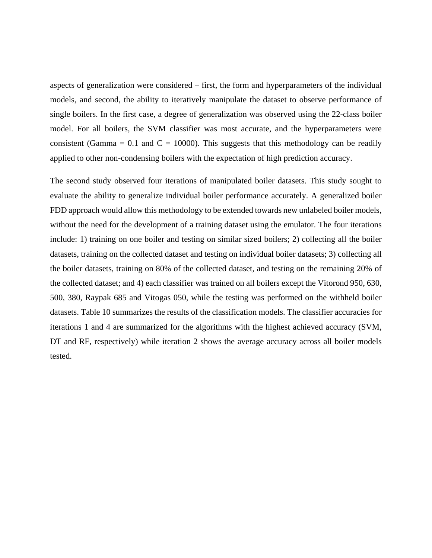aspects of generalization were considered – first, the form and hyperparameters of the individual models, and second, the ability to iteratively manipulate the dataset to observe performance of single boilers. In the first case, a degree of generalization was observed using the 22-class boiler model. For all boilers, the SVM classifier was most accurate, and the hyperparameters were consistent (Gamma = 0.1 and  $C = 10000$ ). This suggests that this methodology can be readily applied to other non-condensing boilers with the expectation of high prediction accuracy.

The second study observed four iterations of manipulated boiler datasets. This study sought to evaluate the ability to generalize individual boiler performance accurately. A generalized boiler FDD approach would allow this methodology to be extended towards new unlabeled boiler models, without the need for the development of a training dataset using the emulator. The four iterations include: 1) training on one boiler and testing on similar sized boilers; 2) collecting all the boiler datasets, training on the collected dataset and testing on individual boiler datasets; 3) collecting all the boiler datasets, training on 80% of the collected dataset, and testing on the remaining 20% of the collected dataset; and 4) each classifier was trained on all boilers except the Vitorond 950, 630, 500, 380, Raypak 685 and Vitogas 050, while the testing was performed on the withheld boiler datasets. Table 10 summarizes the results of the classification models. The classifier accuracies for iterations 1 and 4 are summarized for the algorithms with the highest achieved accuracy (SVM, DT and RF, respectively) while iteration 2 shows the average accuracy across all boiler models tested.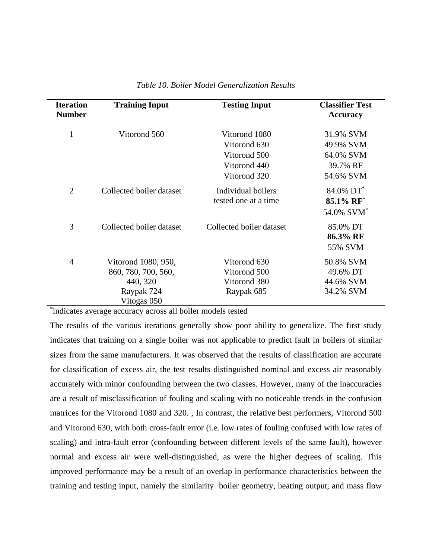| <b>Iteration</b><br><b>Number</b> | <b>Training Input</b>                                                | <b>Testing Input</b>                                       | <b>Classifier Test</b><br><b>Accuracy</b>                    |
|-----------------------------------|----------------------------------------------------------------------|------------------------------------------------------------|--------------------------------------------------------------|
| $\mathbf{1}$                      | Vitorond 560                                                         | Vitorond 1080                                              | 31.9% SVM                                                    |
|                                   |                                                                      | Vitorond 630                                               | 49.9% SVM                                                    |
|                                   |                                                                      | Vitorond 500                                               | 64.0% SVM                                                    |
|                                   |                                                                      | Vitorond 440                                               | 39.7% RF                                                     |
|                                   |                                                                      | Vitorond 320                                               | 54.6% SVM                                                    |
| $\overline{2}$                    | Collected boiler dataset                                             | Individual boilers<br>tested one at a time                 | 84.0% DT <sup>*</sup><br>85.1% RF*<br>54.0% SVM <sup>*</sup> |
| 3                                 | Collected boiler dataset                                             | Collected boiler dataset                                   | 85.0% DT<br>86.3% RF<br>55% SVM                              |
| $\overline{4}$                    | Vitorond 1080, 950,<br>860, 780, 700, 560,<br>440, 320<br>Raypak 724 | Vitorond 630<br>Vitorond 500<br>Vitorond 380<br>Raypak 685 | 50.8% SVM<br>49.6% DT<br>44.6% SVM<br>34.2% SVM              |
|                                   | Vitogas 050                                                          |                                                            |                                                              |

# *Table 10. Boiler Model Generalization Results*

\* indicates average accuracy across all boiler models tested

The results of the various iterations generally show poor ability to generalize. The first study indicates that training on a single boiler was not applicable to predict fault in boilers of similar sizes from the same manufacturers. It was observed that the results of classification are accurate for classification of excess air, the test results distinguished nominal and excess air reasonably accurately with minor confounding between the two classes. However, many of the inaccuracies are a result of misclassification of fouling and scaling with no noticeable trends in the confusion matrices for the Vitorond 1080 and 320. , In contrast, the relative best performers, Vitorond 500 and Vitorond 630, with both cross-fault error (i.e. low rates of fouling confused with low rates of scaling) and intra-fault error (confounding between different levels of the same fault), however normal and excess air were well-distinguished, as were the higher degrees of scaling. This improved performance may be a result of an overlap in performance characteristics between the training and testing input, namely the similarity boiler geometry, heating output, and mass flow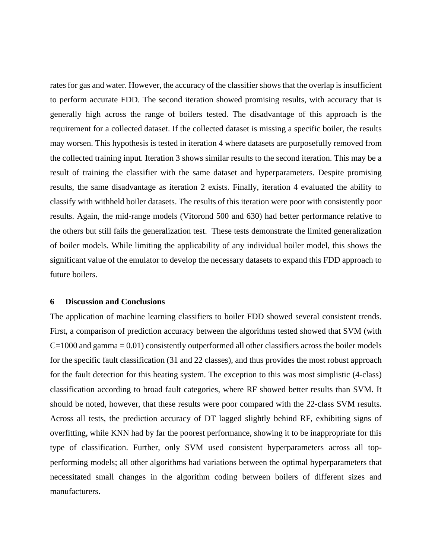rates for gas and water. However, the accuracy of the classifier shows that the overlap is insufficient to perform accurate FDD. The second iteration showed promising results, with accuracy that is generally high across the range of boilers tested. The disadvantage of this approach is the requirement for a collected dataset. If the collected dataset is missing a specific boiler, the results may worsen. This hypothesis is tested in iteration 4 where datasets are purposefully removed from the collected training input. Iteration 3 shows similar results to the second iteration. This may be a result of training the classifier with the same dataset and hyperparameters. Despite promising results, the same disadvantage as iteration 2 exists. Finally, iteration 4 evaluated the ability to classify with withheld boiler datasets. The results of this iteration were poor with consistently poor results. Again, the mid-range models (Vitorond 500 and 630) had better performance relative to the others but still fails the generalization test. These tests demonstrate the limited generalization of boiler models. While limiting the applicability of any individual boiler model, this shows the significant value of the emulator to develop the necessary datasets to expand this FDD approach to future boilers.

# **6 Discussion and Conclusions**

The application of machine learning classifiers to boiler FDD showed several consistent trends. First, a comparison of prediction accuracy between the algorithms tested showed that SVM (with  $C=1000$  and gamma  $= 0.01$ ) consistently outperformed all other classifiers across the boiler models for the specific fault classification (31 and 22 classes), and thus provides the most robust approach for the fault detection for this heating system. The exception to this was most simplistic (4-class) classification according to broad fault categories, where RF showed better results than SVM. It should be noted, however, that these results were poor compared with the 22-class SVM results. Across all tests, the prediction accuracy of DT lagged slightly behind RF, exhibiting signs of overfitting, while KNN had by far the poorest performance, showing it to be inappropriate for this type of classification. Further, only SVM used consistent hyperparameters across all topperforming models; all other algorithms had variations between the optimal hyperparameters that necessitated small changes in the algorithm coding between boilers of different sizes and manufacturers.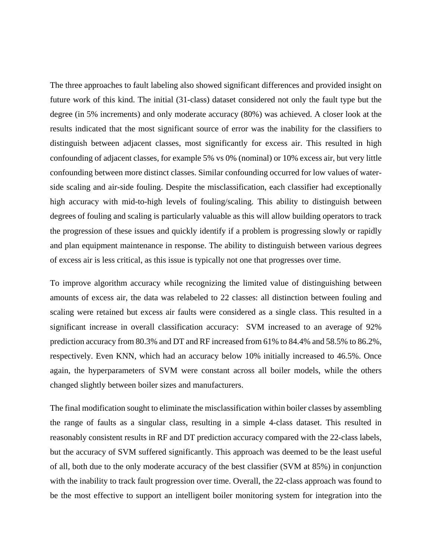The three approaches to fault labeling also showed significant differences and provided insight on future work of this kind. The initial (31-class) dataset considered not only the fault type but the degree (in 5% increments) and only moderate accuracy (80%) was achieved. A closer look at the results indicated that the most significant source of error was the inability for the classifiers to distinguish between adjacent classes, most significantly for excess air. This resulted in high confounding of adjacent classes, for example 5% vs 0% (nominal) or 10% excess air, but very little confounding between more distinct classes. Similar confounding occurred for low values of waterside scaling and air-side fouling. Despite the misclassification, each classifier had exceptionally high accuracy with mid-to-high levels of fouling/scaling. This ability to distinguish between degrees of fouling and scaling is particularly valuable as this will allow building operators to track the progression of these issues and quickly identify if a problem is progressing slowly or rapidly and plan equipment maintenance in response. The ability to distinguish between various degrees of excess air is less critical, as this issue is typically not one that progresses over time.

To improve algorithm accuracy while recognizing the limited value of distinguishing between amounts of excess air, the data was relabeled to 22 classes: all distinction between fouling and scaling were retained but excess air faults were considered as a single class. This resulted in a significant increase in overall classification accuracy: SVM increased to an average of 92% prediction accuracy from 80.3% and DT and RF increased from 61% to 84.4% and 58.5% to 86.2%, respectively. Even KNN, which had an accuracy below 10% initially increased to 46.5%. Once again, the hyperparameters of SVM were constant across all boiler models, while the others changed slightly between boiler sizes and manufacturers.

The final modification sought to eliminate the misclassification within boiler classes by assembling the range of faults as a singular class, resulting in a simple 4-class dataset. This resulted in reasonably consistent results in RF and DT prediction accuracy compared with the 22-class labels, but the accuracy of SVM suffered significantly. This approach was deemed to be the least useful of all, both due to the only moderate accuracy of the best classifier (SVM at 85%) in conjunction with the inability to track fault progression over time. Overall, the 22-class approach was found to be the most effective to support an intelligent boiler monitoring system for integration into the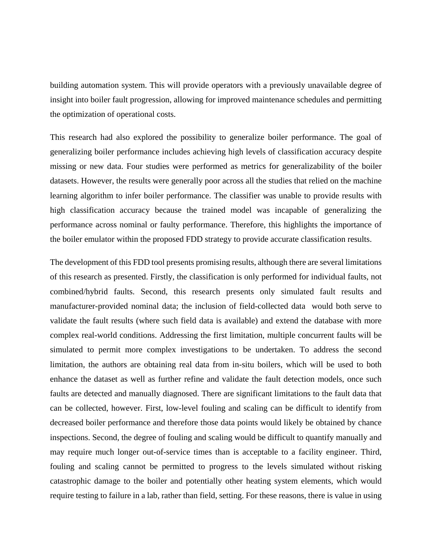building automation system. This will provide operators with a previously unavailable degree of insight into boiler fault progression, allowing for improved maintenance schedules and permitting the optimization of operational costs.

This research had also explored the possibility to generalize boiler performance. The goal of generalizing boiler performance includes achieving high levels of classification accuracy despite missing or new data. Four studies were performed as metrics for generalizability of the boiler datasets. However, the results were generally poor across all the studies that relied on the machine learning algorithm to infer boiler performance. The classifier was unable to provide results with high classification accuracy because the trained model was incapable of generalizing the performance across nominal or faulty performance. Therefore, this highlights the importance of the boiler emulator within the proposed FDD strategy to provide accurate classification results.

The development of this FDD tool presents promising results, although there are several limitations of this research as presented. Firstly, the classification is only performed for individual faults, not combined/hybrid faults. Second, this research presents only simulated fault results and manufacturer-provided nominal data; the inclusion of field-collected data would both serve to validate the fault results (where such field data is available) and extend the database with more complex real-world conditions. Addressing the first limitation, multiple concurrent faults will be simulated to permit more complex investigations to be undertaken. To address the second limitation, the authors are obtaining real data from in-situ boilers, which will be used to both enhance the dataset as well as further refine and validate the fault detection models, once such faults are detected and manually diagnosed. There are significant limitations to the fault data that can be collected, however. First, low-level fouling and scaling can be difficult to identify from decreased boiler performance and therefore those data points would likely be obtained by chance inspections. Second, the degree of fouling and scaling would be difficult to quantify manually and may require much longer out-of-service times than is acceptable to a facility engineer. Third, fouling and scaling cannot be permitted to progress to the levels simulated without risking catastrophic damage to the boiler and potentially other heating system elements, which would require testing to failure in a lab, rather than field, setting. For these reasons, there is value in using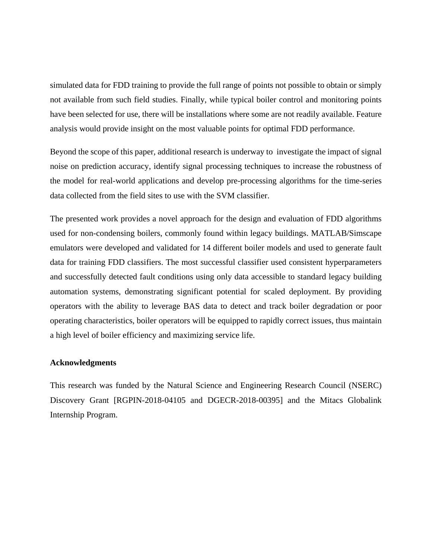simulated data for FDD training to provide the full range of points not possible to obtain or simply not available from such field studies. Finally, while typical boiler control and monitoring points have been selected for use, there will be installations where some are not readily available. Feature analysis would provide insight on the most valuable points for optimal FDD performance.

Beyond the scope of this paper, additional research is underway to investigate the impact of signal noise on prediction accuracy, identify signal processing techniques to increase the robustness of the model for real-world applications and develop pre-processing algorithms for the time-series data collected from the field sites to use with the SVM classifier.

The presented work provides a novel approach for the design and evaluation of FDD algorithms used for non-condensing boilers, commonly found within legacy buildings. MATLAB/Simscape emulators were developed and validated for 14 different boiler models and used to generate fault data for training FDD classifiers. The most successful classifier used consistent hyperparameters and successfully detected fault conditions using only data accessible to standard legacy building automation systems, demonstrating significant potential for scaled deployment. By providing operators with the ability to leverage BAS data to detect and track boiler degradation or poor operating characteristics, boiler operators will be equipped to rapidly correct issues, thus maintain a high level of boiler efficiency and maximizing service life.

### **Acknowledgments**

This research was funded by the Natural Science and Engineering Research Council (NSERC) Discovery Grant [RGPIN-2018-04105 and DGECR-2018-00395] and the Mitacs Globalink Internship Program.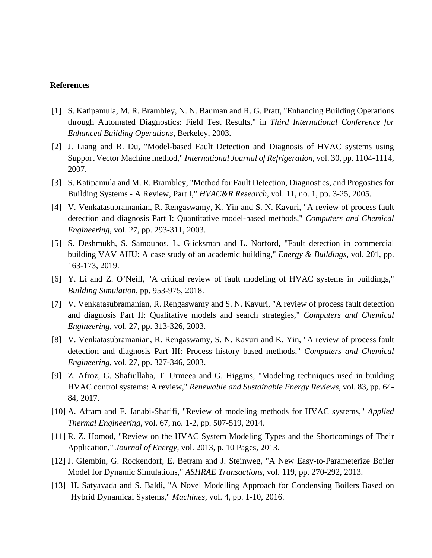# **References**

- [1] S. Katipamula, M. R. Brambley, N. N. Bauman and R. G. Pratt, "Enhancing Building Operations through Automated Diagnostics: Field Test Results," in *Third International Conference for Enhanced Building Operations*, Berkeley, 2003.
- [2] J. Liang and R. Du, "Model-based Fault Detection and Diagnosis of HVAC systems using Support Vector Machine method," *International Journal of Refrigeration,* vol. 30, pp. 1104-1114, 2007.
- [3] S. Katipamula and M. R. Brambley, "Method for Fault Detection, Diagnostics, and Progostics for Building Systems - A Review, Part I," *HVAC&R Research,* vol. 11, no. 1, pp. 3-25, 2005.
- [4] V. Venkatasubramanian, R. Rengaswamy, K. Yin and S. N. Kavuri, "A review of process fault detection and diagnosis Part I: Quantitative model-based methods," *Computers and Chemical Engineering,* vol. 27, pp. 293-311, 2003.
- [5] S. Deshmukh, S. Samouhos, L. Glicksman and L. Norford, "Fault detection in commercial building VAV AHU: A case study of an academic building," *Energy & Buildings,* vol. 201, pp. 163-173, 2019.
- [6] Y. Li and Z. O'Neill, "A critical review of fault modeling of HVAC systems in buildings," *Building Simulation,* pp. 953-975, 2018.
- [7] V. Venkatasubramanian, R. Rengaswamy and S. N. Kavuri, "A review of process fault detection and diagnosis Part II: Qualitative models and search strategies," *Computers and Chemical Engineering,* vol. 27, pp. 313-326, 2003.
- [8] V. Venkatasubramanian, R. Rengaswamy, S. N. Kavuri and K. Yin, "A review of process fault detection and diagnosis Part III: Process history based methods," *Computers and Chemical Engineering,* vol. 27, pp. 327-346, 2003.
- [9] Z. Afroz, G. Shafiullaha, T. Urmeea and G. Higgins, "Modeling techniques used in building HVAC control systems: A review," *Renewable and Sustainable Energy Reviews,* vol. 83, pp. 64- 84, 2017.
- [10] A. Afram and F. Janabi-Sharifi, "Review of modeling methods for HVAC systems," *Applied Thermal Engineering,* vol. 67, no. 1-2, pp. 507-519, 2014.
- [11] R. Z. Homod, "Review on the HVAC System Modeling Types and the Shortcomings of Their Application," *Journal of Energy,* vol. 2013, p. 10 Pages, 2013.
- [12] J. Glembin, G. Rockendorf, E. Betram and J. Steinweg, "A New Easy-to-Parameterize Boiler Model for Dynamic Simulations," *ASHRAE Transactions,* vol. 119, pp. 270-292, 2013.
- [13] H. Satyavada and S. Baldi, "A Novel Modelling Approach for Condensing Boilers Based on Hybrid Dynamical Systems," *Machines,* vol. 4, pp. 1-10, 2016.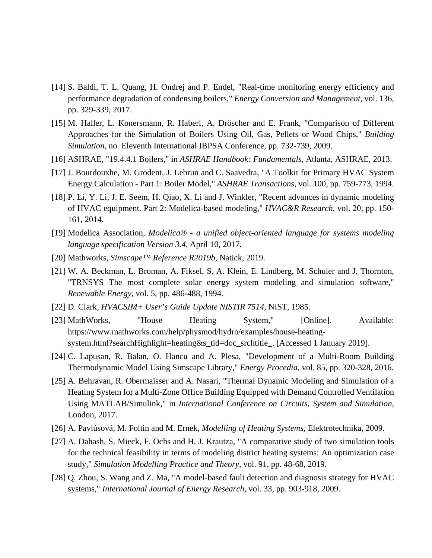- [14] S. Baldi, T. L. Quang, H. Ondrej and P. Endel, "Real-time monitoring energy efficiency and performance degradation of condensing boilers," *Energy Conversion and Management,* vol. 136, pp. 329-339, 2017.
- [15] M. Haller, L. Konersmann, R. Haberl, A. Dröscher and E. Frank, "Comparison of Different Approaches for the Simulation of Boilers Using Oil, Gas, Pellets or Wood Chips," *Building Simulation,* no. Eleventh International IBPSA Conference, pp. 732-739, 2009.
- [16] ASHRAE, "19.4.4.1 Boilers," in *ASHRAE Handbook: Fundamentals*, Atlanta, ASHRAE, 2013.
- [17] J. Bourdouxhe, M. Grodent, J. Lebrun and C. Saavedra, "A Toolkit for Primary HVAC System Energy Calculation - Part 1: Boiler Model," *ASHRAE Transactions,* vol. 100, pp. 759-773, 1994.
- [18] P. Li, Y. Li, J. E. Seem, H. Qiao, X. Li and J. Winkler, "Recent advances in dynamic modeling of HVAC equipment. Part 2: Modelica-based modeling," *HVAC&R Research,* vol. 20, pp. 150- 161, 2014.
- [19] Modelica Association, *Modelica® - a unified object-oriented language for systems modeling language specification Version 3.4,* April 10, 2017.
- [20] Mathworks, *Simscape™ Reference R2019b,* Natick, 2019.
- [21] W. A. Beckman, L. Broman, A. Fiksel, S. A. Klein, E. Lindberg, M. Schuler and J. Thornton, "TRNSYS The most complete solar energy system modeling and simulation software," *Renewable Energy,* vol. 5, pp. 486-488, 1994.
- [22] D. Clark, *HVACSIM+ User's Guide Update NISTIR 7514,* NIST, 1985.
- [23] MathWorks, "House Heating System," [Online]. Available: https://www.mathworks.com/help/physmod/hydro/examples/house-heatingsystem.html?searchHighlight=heating&s\_tid=doc\_srchtitle\_. [Accessed 1 January 2019].
- [24] C. Lapusan, R. Balan, O. Hancu and A. Plesa, "Development of a Multi-Room Building Thermodynamic Model Using Simscape Library," *Energy Procedia,* vol. 85, pp. 320-328, 2016.
- [25] A. Behravan, R. Obermaisser and A. Nasari, "Thermal Dynamic Modeling and Simulation of a Heating System for a Multi-Zone Office Building Equipped with Demand Controlled Ventilation Using MATLAB/Simulink," in *International Conference on Circuits, System and Simulation*, London, 2017.
- [26] A. Pavlúsová, M. Foltin and M. Ernek, *Modelling of Heating Systems,* Elektrotechnika, 2009.
- [27] A. Dahash, S. Mieck, F. Ochs and H. J. Krautza, "A comparative study of two simulation tools for the technical feasibility in terms of modeling district heating systems: An optimization case study," *Simulation Modelling Practice and Theory,* vol. 91, pp. 48-68, 2019.
- [28] Q. Zhou, S. Wang and Z. Ma, "A model-based fault detection and diagnosis strategy for HVAC systems," *International Journal of Energy Research,* vol. 33, pp. 903-918, 2009.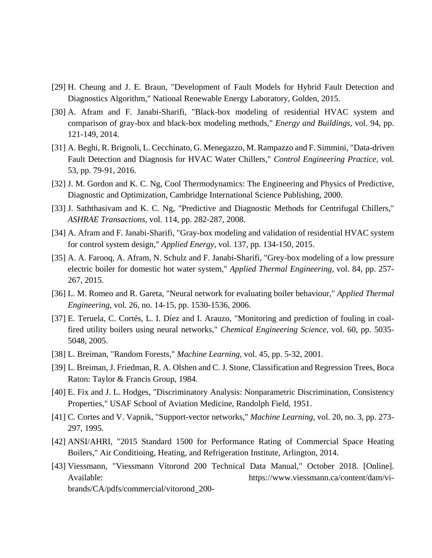- [29] H. Cheung and J. E. Braun, "Development of Fault Models for Hybrid Fault Detection and Diagnostics Algorithm," National Renewable Energy Laboratory, Golden, 2015.
- [30] A. Afram and F. Janabi-Sharifi, "Black-box modeling of residential HVAC system and comparison of gray-box and black-box modeling methods," *Energy and Buildings,* vol. 94, pp. 121-149, 2014.
- [31] A. Beghi, R. Brignoli, L. Cecchinato, G. Menegazzo, M. Rampazzo and F. Simmini, "Data-driven Fault Detection and Diagnosis for HVAC Water Chillers," *Control Engineering Practice,* vol. 53, pp. 79-91, 2016.
- [32] J. M. Gordon and K. C. Ng, Cool Thermodynamics: The Engineering and Physics of Predictive, Diagnostic and Optimization, Cambridge International Science Publishing, 2000.
- [33] J. Saththasivam and K. C. Ng, "Predictive and Diagnostic Methods for Centrifugal Chillers," *ASHRAE Transactions,* vol. 114, pp. 282-287, 2008.
- [34] A. Afram and F. Janabi-Sharifi, "Gray-box modeling and validation of residential HVAC system for control system design," *Applied Energy,* vol. 137, pp. 134-150, 2015.
- [35] A. A. Farooq, A. Afram, N. Schulz and F. Janabi-Sharifi, "Grey-box modeling of a low pressure electric boiler for domestic hot water system," *Applied Thermal Engineering,* vol. 84, pp. 257- 267, 2015.
- [36] L. M. Romeo and R. Gareta, "Neural network for evaluating boiler behaviour," *Applied Thermal Engineering,* vol. 26, no. 14-15, pp. 1530-1536, 2006.
- [37] E. Teruela, C. Cortés, L. I. Díez and I. Arauzo, "Monitoring and prediction of fouling in coalfired utility boilers using neural networks," *Chemical Engineering Science,* vol. 60, pp. 5035- 5048, 2005.
- [38] L. Breiman, "Random Forests," *Machine Learning,* vol. 45, pp. 5-32, 2001.
- [39] L. Breiman, J. Friedman, R. A. Olshen and C. J. Stone, Classification and Regression Trees, Boca Raton: Taylor & Francis Group, 1984.
- [40] E. Fix and J. L. Hodges, "Discriminatory Analysis: Nonparametric Discrimination, Consistency Properties," USAF School of Aviation Medicine, Randolph Field, 1951.
- [41] C. Cortes and V. Vapnik, "Support-vector networks," *Machine Learning,* vol. 20, no. 3, pp. 273- 297, 1995.
- [42] ANSI/AHRI, "2015 Standard 1500 for Performance Rating of Commercial Space Heating Boilers," Air Conditioing, Heating, and Refrigeration Institute, Arlington, 2014.
- [43] Viessmann, "Viessmann Vitorond 200 Technical Data Manual," October 2018. [Online]. Available: https://www.viessmann.ca/content/dam/vibrands/CA/pdfs/commercial/vitorond\_200-